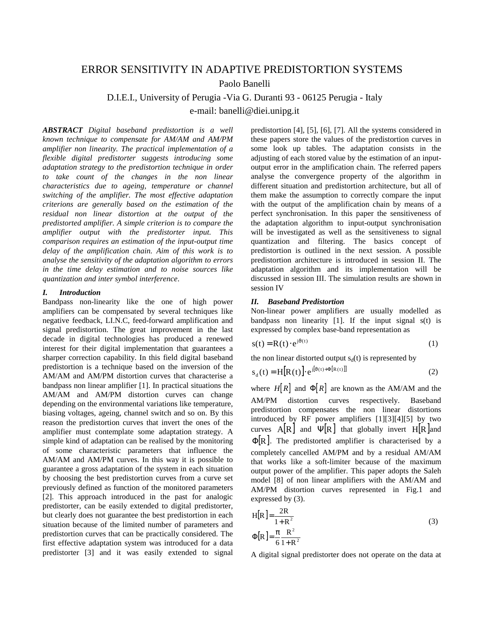# ERROR SENSITIVITY IN ADAPTIVE PREDISTORTION SYSTEMS

Paolo Banelli

D.I.E.I., University of Perugia -Via G. Duranti 93 - 06125 Perugia - Italy

e-mail: banelli@diei.unipg.it

*ABSTRACT Digital baseband predistortion is a well known technique to compensate for AM/AM and AM/PM amplifier non linearity. The practical implementation of a flexible digital predistorter suggests introducing some adaptation strategy to the predistortion technique in order to take count of the changes in the non linear characteristics due to ageing, temperature or channel switching of the amplifier. The most effective adaptation criterions are generally based on the estimation of the residual non linear distortion at the output of the predistorted amplifier. A simple criterion is to compare the amplifier output with the predistorter input. This comparison requires an estimation of the input-output time delay of the amplification chain. Aim of this work is to analyse the sensitivity of the adaptation algorithm to errors in the time delay estimation and to noise sources like quantization and inter symbol interference*.

### *I. Introduction*

Bandpass non-linearity like the one of high power amplifiers can be compensated by several techniques like negative feedback, LI.N.C, feed-forward amplification and signal predistortion. The great improvement in the last decade in digital technologies has produced a renewed interest for their digital implementation that guarantees a sharper correction capability. In this field digital baseband predistortion is a technique based on the inversion of the AM/AM and AM/PM distortion curves that characterise a bandpass non linear amplifier [1]. In practical situations the AM/AM and AM/PM distortion curves can change depending on the environmental variations like temperature, biasing voltages, ageing, channel switch and so on. By this reason the predistortion curves that invert the ones of the amplifier must contemplate some adaptation strategy. A simple kind of adaptation can be realised by the monitoring of some characteristic parameters that influence the AM/AM and AM/PM curves. In this way it is possible to guarantee a gross adaptation of the system in each situation by choosing the best predistortion curves from a curve set previously defined as function of the monitored parameters [2]. This approach introduced in the past for analogic predistorter, can be easily extended to digital predistorter, but clearly does not guarantee the best predistortion in each situation because of the limited number of parameters and predistortion curves that can be practically considered. The first effective adaptation system was introduced for a data predistorter [3] and it was easily extended to signal

predistortion [4], [5], [6], [7]. All the systems considered in these papers store the values of the predistortion curves in some look up tables. The adaptation consists in the adjusting of each stored value by the estimation of an inputoutput error in the amplification chain. The referred papers analyse the convergence property of the algorithm in different situation and predistortion architecture, but all of them make the assumption to correctly compare the input with the output of the amplification chain by means of a perfect synchronisation. In this paper the sensitiveness of the adaptation algorithm to input-output synchronisation will be investigated as well as the sensitiveness to signal quantization and filtering. The basics concept of predistortion is outlined in the next session. A possible predistortion architecture is introduced in session II. The adaptation algorithm and its implementation will be discussed in session III. The simulation results are shown in session IV

## *II. Baseband Predistortion*

Non-linear power amplifiers are usually modelled as bandpass non linearity [1]. If the input signal s(t) is expressed by complex base-band representation as

$$
s(t) = R(t) \cdot e^{j\vartheta(t)}
$$
 (1)

the non linear distorted output  $s_d(t)$  is represented by

$$
s_{d}(t) = H[R(t)] \cdot e^{j[\vartheta(t) + \Phi[R(t)]}
$$
\n(2)

where  $H[R]$  and  $\Phi[R]$  are known as the AM/AM and the AM/PM distortion curves respectively. Baseband predistortion compensates the non linear distortions introduced by RF power amplifiers [1][3][4][5] by two curves  $A[R]$  and  $\Psi[R]$  that globally invert  $H[R]$  and  $\Phi[R]$ . The predistorted amplifier is characterised by a completely cancelled AM/PM and by a residual AM/AM that works like a soft-limiter because of the maximum output power of the amplifier. This paper adopts the Saleh model [8] of non linear amplifiers with the AM/AM and AM/PM distortion curves represented in Fig.1 and expressed by (3).

$$
H[R] = \frac{2R}{1+R^2}
$$
  
\n
$$
\Phi[R] = \frac{\pi}{6} \frac{R^2}{1+R^2}
$$
\n(3)

A digital signal predistorter does not operate on the data at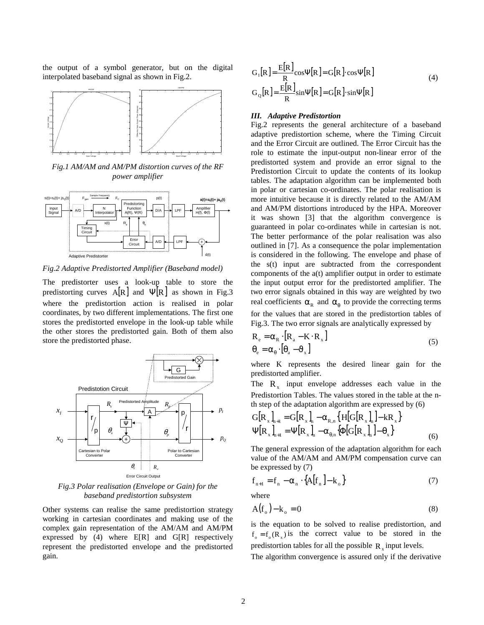the output of a symbol generator, but on the digital interpolated baseband signal as shown in Fig.2.



*Fig.1 AM/AM and AM/PM distortion curves of the RF power amplifier*



*Fig.2 Adaptive Predistorted Amplifier (Baseband model)*

The predistorter uses a look-up table to store the predistorting curves  $A[R]$  and  $\Psi[R]$  as shown in Fig.3 where the predistortion action is realised in polar coordinates, by two different implementations. The first one stores the predistorted envelope in the look-up table while the other stores the predistorted gain. Both of them also store the predistorted phase.



*Fig.3 Polar realisation (Envelope or Gain) for the baseband predistortion subsystem*

Other systems can realise the same predistortion strategy working in cartesian coordinates and making use of the complex gain representation of the AM/AM and AM/PM expressed by  $(4)$  where  $E[R]$  and  $G[R]$  respectively represent the predistorted envelope and the predistorted gain.

$$
G_{I}[R] = \frac{E[R]}{R} \cos\Psi[R] = G[R] \cdot \cos\Psi[R]
$$
\n
$$
G_{Q}[R] = \frac{E[R]}{R} \sin\Psi[R] = G[R] \cdot \sin\Psi[R]
$$
\n(4)

### *III. Adaptive Predistortion*

Fig.2 represents the general architecture of a baseband adaptive predistortion scheme, where the Timing Circuit and the Error Circuit are outlined. The Error Circuit has the role to estimate the input-output non-linear error of the predistorted system and provide an error signal to the Predistortion Circuit to update the contents of its lookup tables. The adaptation algorithm can be implemented both in polar or cartesian co-ordinates. The polar realisation is more intuitive because it is directly related to the AM/AM and AM/PM distortions introduced by the HPA. Moreover it was shown [3] that the algorithm convergence is guaranteed in polar co-ordinates while in cartesian is not. The better performance of the polar realisation was also outlined in [7]. As a consequence the polar implementation is considered in the following. The envelope and phase of the s(t) input are subtracted from the correspondent components of the a(t) amplifier output in order to estimate the input output error for the predistorted amplifier. The two error signals obtained in this way are weighted by two real coefficients  $\alpha_R$  and  $\alpha_{\theta}$  to provide the correcting terms for the values that are stored in the predistortion tables of Fig.3. The two error signals are analytically expressed by

$$
R_e = \alpha_R \cdot [R_a - K \cdot R_x]
$$
  
\n
$$
\theta_e = \alpha_\theta \cdot [\theta_a - \vartheta_x]
$$
\n(5)

where K represents the desired linear gain for the predistorted amplifier.

The  $R_x$  input envelope addresses each value in the Predistortion Tables. The values stored in the table at the nth step of the adaptation algorithm are expressed by (6)

$$
G[R_x]_{n+1} = G[R_x]_n - \alpha_{R,n} \{ H[G[R_x]_n] - kR_x \}
$$
  
\n
$$
\Psi[R_x]_{n+1} = \Psi[R_x]_n - \alpha_{\theta,n} \{ \Phi[G[R_x]_n] - \theta_x \}
$$
 (6)

The general expression of the adaptation algorithm for each value of the AM/AM and AM/PM compensation curve can be expressed by (7)

$$
\mathbf{f}_{n+1} = \mathbf{f}_n - \alpha_n \cdot \{ \mathbf{A}[\mathbf{f}_n] - \mathbf{k}_o \} \tag{7}
$$

where

$$
A(f_0) - k_0 = 0 \tag{8}
$$

is the equation to be solved to realise predistortion, and  $f_0 = f_0(R_x)$  is the correct value to be stored in the predistortion tables for all the possible  $R_{x}$  input levels.

The algorithm convergence is assured only if the derivative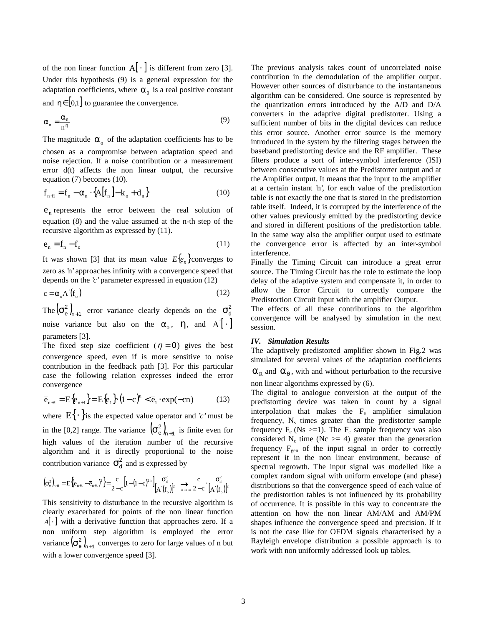of the non linear function  $A[\cdot]$  is different from zero [3]. Under this hypothesis (9) is a general expression for the adaptation coefficients, where  $\alpha_0$  is a real positive constant and  $\eta \in [0,1]$  to guarantee the convergence.

$$
\alpha_n = \frac{\alpha_0}{n^n} \tag{9}
$$

The magnitude  $\alpha_0$  of the adaptation coefficients has to be chosen as a compromise between adaptation speed and noise rejection. If a noise contribution or a measurement error d(t) affects the non linear output, the recursive equation (7) becomes (10).

$$
f_{n+1} = f_n - \alpha_n \cdot \{A[f_n] - k_o + d_n\}
$$
 (10)

 $e_n$  represents the error between the real solution of equation (8) and the value assumed at the n-th step of the recursive algorithm as expressed by (11).

$$
e_n = f_n - f_o \tag{11}
$$

It was shown [3] that its mean value  $E{e_n}$  converges to zero as 'n' approaches infinity with a convergence speed that depends on the '*c'* parameter expressed in equation (12)

$$
c = \alpha_{\circ} A'(f_{\circ})
$$
 (12)

The  $(\sigma_e^2)_{n+1}$  error variance clearly depends on the  $\sigma_d^2$ noise variance but also on the  $\alpha_0$ ,  $\eta$ , and  $A^{\dagger}$ . parameters [3].

The fixed step size coefficient ( $\eta = 0$ ) gives the best convergence speed, even if is more sensitive to noise contribution in the feedback path [3]. For this particular case the following relation expresses indeed the error convergence

$$
\overline{e}_{n+1} = E\{e_{n+1}\} = E\{e_1\} \cdot (1-c)^n < \overline{e}_1 \cdot \exp(-cn) \tag{13}
$$

where  $E\{\cdot\}$  is the expected value operator and '*c*' must be in the [0,2] range. The variance  $(\sigma_e^2)_{n+1}$  is finite even for high values of the iteration number of the recursive algorithm and it is directly proportional to the noise contribution variance  $\sigma_d^2$  and is expressed by

( ) { } ( ) [ ] ( ) [ ] ( ) [ ] ( ) <sup>2</sup> o ' 2 d n 2 o ' <sup>2</sup> <sup>2</sup> 2n <sup>d</sup> n 1 n 1 n 1 2 <sup>e</sup> 2 c A f c A <sup>f</sup> <sup>1</sup> <sup>1</sup> <sup>c</sup> <sup>2</sup> <sup>c</sup> <sup>c</sup> <sup>E</sup> <sup>e</sup> <sup>e</sup> <sup>σ</sup> <sup>⋅</sup> <sup>−</sup> <sup>σ</sup> <sup>−</sup> <sup>−</sup> <sup>−</sup> <sup>σ</sup> <sup>=</sup> <sup>−</sup> <sup>=</sup> →→∞ + + +

This sensitivity to disturbance in the recursive algorithm is clearly exacerbated for points of the non linear function *A*[ · ] with a derivative function that approaches zero. If a non uniform step algorithm is employed the error variance  $(\sigma_e^2)_{n+1}$  converges to zero for large values of n but with a lower convergence speed [3].

The previous analysis takes count of uncorrelated noise contribution in the demodulation of the amplifier output. However other sources of disturbance to the instantaneous algorithm can be considered. One source is represented by the quantization errors introduced by the A/D and D/A converters in the adaptive digital predistorter. Using a sufficient number of bits in the digital devices can reduce this error source. Another error source is the memory introduced in the system by the filtering stages between the baseband predistorting device and the RF amplifier. These filters produce a sort of inter-symbol interference (ISI) between consecutive values at the Predistorter output and at the Amplifier output. It means that the input to the amplifier at a certain instant 'n', for each value of the predistortion table is not exactly the one that is stored in the predistortion table itself. Indeed, it is corrupted by the interference of the other values previously emitted by the predistorting device and stored in different positions of the predistortion table. In the same way also the amplifier output used to estimate the convergence error is affected by an inter-symbol interference.

Finally the Timing Circuit can introduce a great error source. The Timing Circuit has the role to estimate the loop delay of the adaptive system and compensate it, in order to allow the Error Circuit to correctly compare the Predistortion Circuit Input with the amplifier Output.

The effects of all these contributions to the algorithm convergence will be analysed by simulation in the next session.

#### *IV. Simulation Results*

The adaptively predistorted amplifier shown in Fig.2 was simulated for several values of the adaptation coefficients  $\alpha_R$  and  $\alpha_{\theta}$ , with and without perturbation to the recursive non linear algorithms expressed by (6).

The digital to analogue conversion at the output of the predistorting device was taken in count by a signal interpolation that makes the  $F_s$  amplifier simulation frequency,  $N_s$  times greater than the predistorter sample frequency  $F_c$  (Ns  $>=$ 1). The  $F_c$  sample frequency was also considered  $N_c$  time (Nc  $>= 4$ ) greater than the generation frequency  $F_{gen}$  of the input signal in order to correctly represent it in the non linear environment, because of spectral regrowth. The input signal was modelled like a complex random signal with uniform envelope (and phase) distributions so that the convergence speed of each value of the predistortion tables is not influenced by its probability of occurrence. It is possible in this way to concentrate the attention on how the non linear AM/AM and AM/PM shapes influence the convergence speed and precision. If it is not the case like for OFDM signals characterised by a Rayleigh envelope distribution a possible approach is to work with non uniformly addressed look up tables.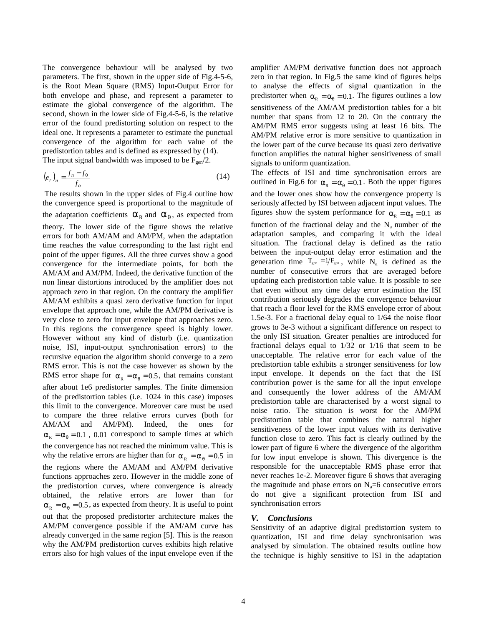The convergence behaviour will be analysed by two parameters. The first, shown in the upper side of Fig.4-5-6, is the Root Mean Square (RMS) Input-Output Error for both envelope and phase, and represent a parameter to estimate the global convergence of the algorithm. The second, shown in the lower side of Fig.4-5-6, is the relative error of the found predistorting solution on respect to the ideal one. It represents a parameter to estimate the punctual convergence of the algorithm for each value of the predistortion tables and is defined as expressed by (14). The input signal bandwidth was imposed to be  $F_{gen}/2$ .

$$
\left(e_{r}\right)_{n} = \frac{f_{n} - f_{0}}{f_{o}}\tag{14}
$$

 The results shown in the upper sides of Fig.4 outline how the convergence speed is proportional to the magnitude of the adaptation coefficients  $\alpha_R$  and  $\alpha_{\theta}$ , as expected from theory. The lower side of the figure shows the relative errors for both AM/AM and AM/PM, when the adaptation time reaches the value corresponding to the last right end point of the upper figures. All the three curves show a good convergence for the intermediate points, for both the AM/AM and AM/PM. Indeed, the derivative function of the non linear distortions introduced by the amplifier does not approach zero in that region. On the contrary the amplifier AM/AM exhibits a quasi zero derivative function for input envelope that approach one, while the AM/PM derivative is very close to zero for input envelope that approaches zero. In this regions the convergence speed is highly lower. However without any kind of disturb (i.e. quantization noise, ISI, input-output synchronisation errors) to the recursive equation the algorithm should converge to a zero RMS error. This is not the case however as shown by the RMS error shape for  $\alpha_R = \alpha_{\theta} = 0.5$ , that remains constant after about 1e6 predistorter samples. The finite dimension of the predistortion tables (i.e. 1024 in this case) imposes this limit to the convergence. Moreover care must be used to compare the three relative errors curves (both for AM/AM and AM/PM). Indeed, the ones for  $\alpha_R = \alpha_\theta = 0.1$ , 0.01 correspond to sample times at which the convergence has not reached the minimum value. This is why the relative errors are higher than for  $\alpha_R = \alpha_\theta = 0.5$  in the regions where the AM/AM and AM/PM derivative functions approaches zero. However in the middle zone of the predistortion curves, where convergence is already obtained, the relative errors are lower than for  $\alpha_R = \alpha_{\theta} = 0.5$ , as expected from theory. It is useful to point out that the proposed predistorter architecture makes the AM/PM convergence possible if the AM/AM curve has already converged in the same region [5]. This is the reason why the AM/PM predistortion curves exhibits high relative errors also for high values of the input envelope even if the

amplifier AM/PM derivative function does not approach zero in that region. In Fig.5 the same kind of figures helps to analyse the effects of signal quantization in the predistorter when  $\alpha_p = \alpha_q = 0.1$ . The figures outlines a low sensitiveness of the AM/AM predistortion tables for a bit number that spans from 12 to 20. On the contrary the AM/PM RMS error suggests using at least 16 bits. The AM/PM relative error is more sensitive to quantization in the lower part of the curve because its quasi zero derivative function amplifies the natural higher sensitiveness of small signals to uniform quantization.

The effects of ISI and time synchronisation errors are outlined in Fig.6 for  $\alpha_R = \alpha_{\theta} = 0.1$ . Both the upper figures and the lower ones show how the convergence property is seriously affected by ISI between adjacent input values. The figures show the system performance for  $\alpha_p = \alpha_q = 0.1$  as function of the fractional delay and the  $N_a$  number of the adaptation samples, and comparing it with the ideal situation. The fractional delay is defined as the ratio between the input-output delay error estimation and the generation time  $T_{gen} = 1/F_{gen}$ , while N<sub>a</sub> is defined as the number of consecutive errors that are averaged before updating each predistortion table value. It is possible to see that even without any time delay error estimation the ISI contribution seriously degrades the convergence behaviour that reach a floor level for the RMS envelope error of about 1.5e-3. For a fractional delay equal to 1/64 the noise floor grows to 3e-3 without a significant difference on respect to the only ISI situation. Greater penalties are introduced for fractional delays equal to 1/32 or 1/16 that seem to be unacceptable. The relative error for each value of the predistortion table exhibits a stronger sensitiveness for low input envelope. It depends on the fact that the ISI contribution power is the same for all the input envelope and consequently the lower address of the AM/AM predistortion table are characterised by a worst signal to noise ratio. The situation is worst for the AM/PM predistortion table that combines the natural higher sensitiveness of the lower input values with its derivative function close to zero. This fact is clearly outlined by the lower part of figure 6 where the divergence of the algorithm for low input envelope is shown. This divergence is the responsible for the unacceptable RMS phase error that never reaches 1e-2. Moreover figure 6 shows that averaging the magnitude and phase errors on  $N_a=6$  consecutive errors do not give a significant protection from ISI and synchronisation errors

#### *V. Conclusions*

Sensitivity of an adaptive digital predistortion system to quantization, ISI and time delay synchronisation was analysed by simulation. The obtained results outline how the technique is highly sensitive to ISI in the adaptation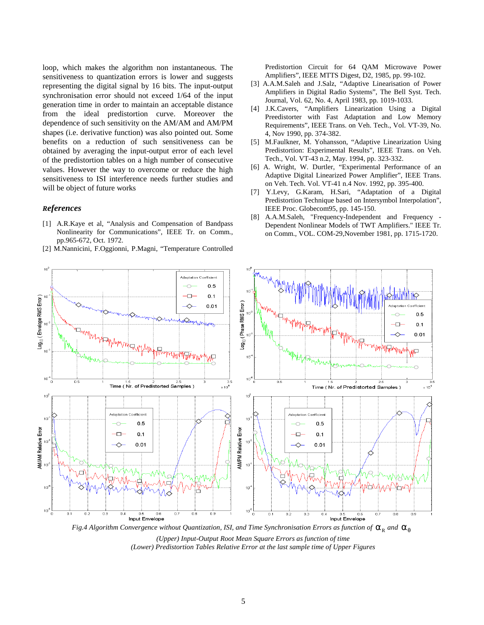loop, which makes the algorithm non instantaneous. The sensitiveness to quantization errors is lower and suggests representing the digital signal by 16 bits. The input-output synchronisation error should not exceed 1/64 of the input generation time in order to maintain an acceptable distance from the ideal predistortion curve. Moreover the dependence of such sensitivity on the AM/AM and AM/PM shapes (i.e. derivative function) was also pointed out. Some benefits on a reduction of such sensitiveness can be obtained by averaging the input-output error of each level of the predistortion tables on a high number of consecutive values. However the way to overcome or reduce the high sensitiveness to ISI interference needs further studies and will be object of future works

# *References*

- [1] A.R.Kaye et al, "Analysis and Compensation of Bandpass Nonlinearity for Communications", IEEE Tr. on Comm., pp.965-672, Oct. 1972.
- [2] M.Nannicini, F.Oggionni, P.Magni, "Temperature Controlled

Predistortion Circuit for 64 QAM Microwave Power Amplifiers", IEEE MTTS Digest, D2, 1985, pp. 99-102.

- [3] A.A.M.Saleh and J.Salz, "Adaptive Linearisation of Power Amplifiers in Digital Radio Systems", The Bell Syst. Tech. Journal, Vol. 62, No. 4, April 1983, pp. 1019-1033.
- [4] J.K.Cavers, "Amplifiers Linearization Using a Digital Preedistorter with Fast Adaptation and Low Memory Requirements", IEEE Trans. on Veh. Tech., Vol. VT-39, No. 4, Nov 1990, pp. 374-382.
- [5] M.Faulkner, M. Yohansson, "Adaptive Linearization Using Predistortion: Experimental Results", IEEE Trans. on Veh. Tech., Vol. VT-43 n.2, May. 1994, pp. 323-332.
- [6] A. Wright, W. Durtler, "Experimental Performance of an Adaptive Digital Linearized Power Amplifier", IEEE Trans. on Veh. Tech. Vol. VT-41 n.4 Nov. 1992, pp. 395-400.
- [7] Y.Levy, G.Karam, H.Sari, "Adaptation of a Digital Predistortion Technique based on Intersymbol Interpolation", IEEE Proc. Globecom95, pp. 145-150.
- [8] A.A.M.Saleh, "Frequency-Independent and Frequency Dependent Nonlinear Models of TWT Amplifiers." IEEE Tr. on Comm., VOL. COM-29,November 1981, pp. 1715-1720.



*Fig.4 Algorithm Convergence without Quantization, ISI, and Time Synchronisation Errors as function of*  $\alpha_R$  *and*  $\alpha_\theta$ *(Upper) Input-Output Root Mean Square Errors as function of time*